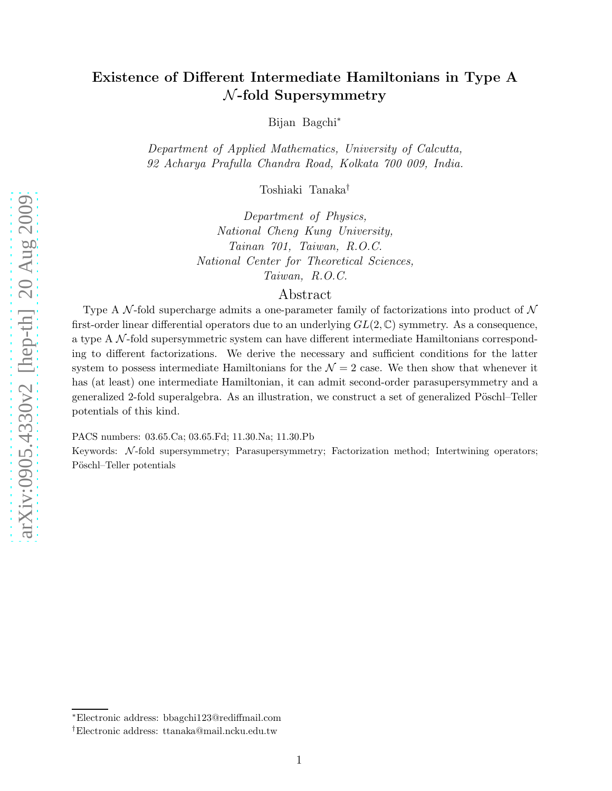Bijan Bagchi ∗

Department of Applied Mathematics, University of Calcutta , 92 Acharya Prafulla Chandra Road, Kolkata 700 009, India.

Toshiaki Tanaka †

Department of Physics, National Cheng Kung University, Tainan 701, Taiwan, R.O.C. National Center for Theoretical Sciences, Taiwan, R.O.C.

## Abstract

Type A N-fold supercharge admits a one-parameter family of factorizations into product of  $\mathcal N$ first-order linear differential operators due to an underlying  $GL(2,\mathbb{C})$  symmetry. As a consequence, a type A N-fold supersymmetric system can have different intermediate Hamiltonians corresponding to different factorizations. We derive the necessary and sufficient conditions for the latter system to possess intermediate Hamiltonians for the  $\mathcal{N}=2$  case. We then show that whenever it has (at least) one intermediate Hamiltonian, it can admit second-order parasupersymmetry and a generalized 2-fold superalgebra. As an illustration, we construct a set of generalized Pöschl–Teller potentials of this kind.

PACS numbers: 03.65.Ca; 03.65.Fd; 11.30.Na; 11.30.Pb

Keywords: N-fold supersymmetry; Parasupersymmetry; Factorization method; Intertwining operators; Pöschl–Teller potentials

<sup>∗</sup>Electronic address: bbagchi123@rediffmail.com

<sup>†</sup>Electronic address: ttanaka@mail.ncku.edu.tw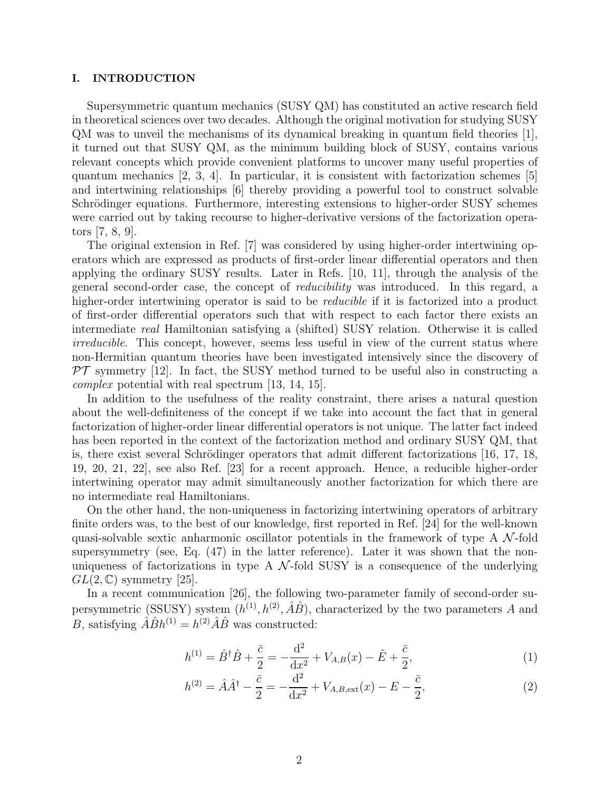#### I. INTRODUCTION

Supersymmetric quantum mechanics (SUSY QM) has constituted an active research field in theoretical sciences over two decades. Although the original motivation for studying SUSY  $QM$  was to unveil the mechanisms of its dynamical breaking in quantum field theories  $|1|$ , it turned out that SUSY QM, as the minimum building block of SUSY, contains various relevant concepts which provide convenient platforms to uncover many useful properties of quantum mechanics  $[2, 3, 4]$ . In particular, it is consistent with factorization schemes  $[5]$ and intertwining relationships [6] thereby providing a powerful tool to construct solvable Schrödinger equations. Furthermore, interesting extensions to higher-order SUSY schemes were carried out by taking recourse to higher-derivative versions of the factorization operators [7, 8, 9].

The original extension in Ref. [7] was considered by using higher-order intertwining operators which are expressed as products of first-order linear differential operators and then applying the ordinary SUSY results. Later in Refs. [10, 11], through the analysis of the general second-order case, the concept of reducibility was introduced. In this regard, a higher-order intertwining operator is said to be *reducible* if it is factorized into a product of first-order differential operators such that with respect to each factor there exists an intermediate real Hamiltonian satisfying a (shifted) SUSY relation. Otherwise it is called irreducible. This concept, however, seems less useful in view of the current status where non-Hermitian quantum theories have been investigated intensively since the discovery of  $\mathcal{PT}$  symmetry [12]. In fact, the SUSY method turned to be useful also in constructing a complex potential with real spectrum [13, 14, 15].

In addition to the usefulness of the reality constraint, there arises a natural question about the well-definiteness of the concept if we take into account the fact that in general factorization of higher-order linear differential operators is not unique. The latter fact indeed has been reported in the context of the factorization method and ordinary SUSY QM, that is, there exist several Schrödinger operators that admit different factorizations  $[16, 17, 18,$ 19, 20, 21, 22], see also Ref. [23] for a recent approach. Hence, a reducible higher-order intertwining operator may admit simultaneously another factorization for which there are no intermediate real Hamiltonians.

On the other hand, the non-uniqueness in factorizing intertwining operators of arbitrary finite orders was, to the best of our knowledge, first reported in Ref. [24] for the well-known quasi-solvable sextic anharmonic oscillator potentials in the framework of type A  $\mathcal{N}$ -fold supersymmetry (see, Eq. (47) in the latter reference). Later it was shown that the nonuniqueness of factorizations in type A  $\mathcal{N}$ -fold SUSY is a consequence of the underlying  $GL(2,\mathbb{C})$  symmetry [25].

In a recent communication [26], the following two-parameter family of second-order supersymmetric (SSUSY) system  $(h^{(1)}, h^{(2)}, \hat{A}\hat{B})$ , characterized by the two parameters A and B, satisfying  $\hat{A}\hat{B}h^{(1)} = h^{(2)}\hat{A}\hat{B}$  was constructed:

$$
h^{(1)} = \hat{B}^{\dagger} \hat{B} + \frac{\bar{c}}{2} = -\frac{\mathrm{d}^2}{\mathrm{d}x^2} + V_{A,B}(x) - \tilde{E} + \frac{\bar{c}}{2},\tag{1}
$$

$$
h^{(2)} = \hat{A}\hat{A}^{\dagger} - \frac{\bar{c}}{2} = -\frac{d^2}{dx^2} + V_{A,B,\text{ext}}(x) - E - \frac{\bar{c}}{2},\tag{2}
$$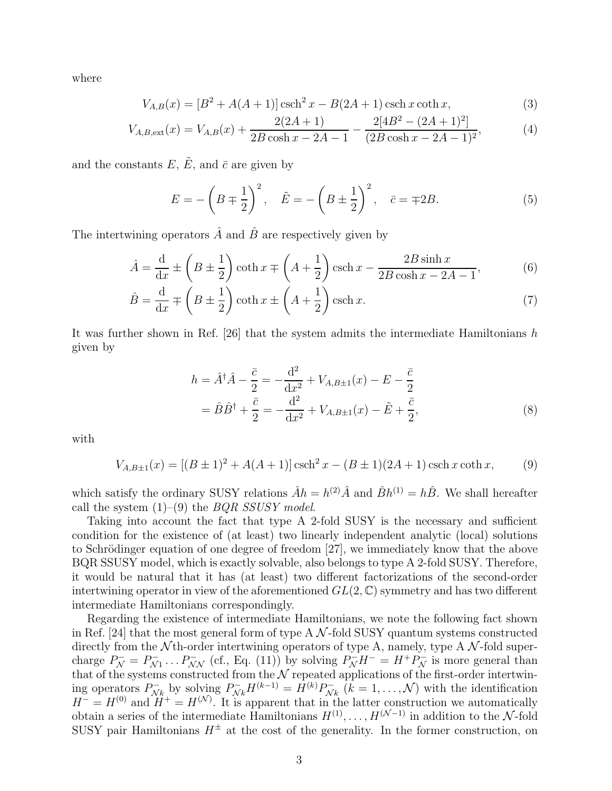where

$$
V_{A,B}(x) = [B^2 + A(A+1)] \operatorname{csch}^2 x - B(2A+1) \operatorname{csch} x \operatorname{coth} x,\tag{3}
$$

$$
V_{A,B,\text{ext}}(x) = V_{A,B}(x) + \frac{2(2A+1)}{2B\cosh x - 2A - 1} - \frac{2[4B^2 - (2A+1)^2]}{(2B\cosh x - 2A - 1)^2},\tag{4}
$$

and the constants  $E, \tilde{E}$ , and  $\bar{c}$  are given by

$$
E = -\left(B \mp \frac{1}{2}\right)^2, \quad \tilde{E} = -\left(B \pm \frac{1}{2}\right)^2, \quad \bar{c} = \mp 2B. \tag{5}
$$

The intertwining operators  $\hat{A}$  and  $\hat{B}$  are respectively given by

$$
\hat{A} = \frac{d}{dx} \pm \left(B \pm \frac{1}{2}\right) \coth x \mp \left(A + \frac{1}{2}\right) \operatorname{csch} x - \frac{2B \sinh x}{2B \cosh x - 2A - 1},\tag{6}
$$

$$
\hat{B} = \frac{\mathrm{d}}{\mathrm{d}x} \mp \left(B \pm \frac{1}{2}\right) \coth x \pm \left(A + \frac{1}{2}\right) \operatorname{csch} x. \tag{7}
$$

It was further shown in Ref. [26] that the system admits the intermediate Hamiltonians h given by

$$
h = \hat{A}^{\dagger} \hat{A} - \frac{\bar{c}}{2} = -\frac{d^2}{dx^2} + V_{A,B\pm 1}(x) - E - \frac{\bar{c}}{2}
$$
  
=  $\hat{B}\hat{B}^{\dagger} + \frac{\bar{c}}{2} = -\frac{d^2}{dx^2} + V_{A,B\pm 1}(x) - \tilde{E} + \frac{\bar{c}}{2},$  (8)

with

$$
V_{A,B\pm 1}(x) = [(B \pm 1)^2 + A(A+1)] \operatorname{csch}^2 x - (B \pm 1)(2A+1) \operatorname{csch} x \coth x,
$$
 (9)

which satisfy the ordinary SUSY relations  $\hat{A}h = h^{(2)}\hat{A}$  and  $\hat{B}h^{(1)} = h\hat{B}$ . We shall hereafter call the system  $(1)$ – $(9)$  the *BQR SSUSY model*.

Taking into account the fact that type A 2-fold SUSY is the necessary and sufficient condition for the existence of (at least) two linearly independent analytic (local) solutions to Schrödinger equation of one degree of freedom [27], we immediately know that the above BQR SSUSY model, which is exactly solvable, also belongs to type A 2-fold SUSY. Therefore, it would be natural that it has (at least) two different factorizations of the second-order intertwining operator in view of the aforementioned  $GL(2,\mathbb{C})$  symmetry and has two different intermediate Hamiltonians correspondingly.

Regarding the existence of intermediate Hamiltonians, we note the following fact shown in Ref. [24] that the most general form of type  $A \mathcal{N}$ -fold SUSY quantum systems constructed directly from the  $\mathcal N$ th-order intertwining operators of type A, namely, type A  $\mathcal N$ -fold supercharge  $P_{\mathcal{N}}^- = P_{\mathcal{N}}^ P_{N}^{-}$ ...  $P_{NN}^{-}$  (cf., Eq. (11)) by solving  $P_{N}^{-}H^{-} = H^{+}P_{N}^{-}$  is more general than that of the systems constructed from the  $\mathcal N$  repeated applications of the first-order intertwining operators  $P_{\mathcal{N}}^ \sum_{N_k}^{\infty}$  by solving  $P_{N_k}^- H^{(k-1)} = H^{(k)} P_{N}^ \sum_{N_k}^{\infty} (k = 1, \ldots, \mathcal{N})$  with the identification  $H^- = H^{(0)}$  and  $H^+ = H^{(N)}$ . It is apparent that in the latter construction we automatically obtain a series of the intermediate Hamiltonians  $H^{(1)}, \ldots, H^{(N-1)}$  in addition to the N-fold SUSY pair Hamiltonians  $H^{\pm}$  at the cost of the generality. In the former construction, on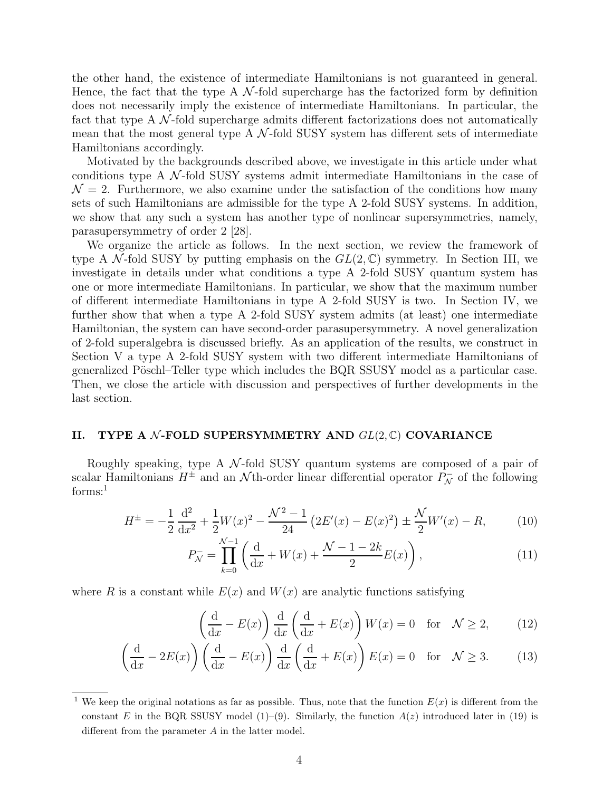the other hand, the existence of intermediate Hamiltonians is not guaranteed in general. Hence, the fact that the type A  $\mathcal N$ -fold supercharge has the factorized form by definition does not necessarily imply the existence of intermediate Hamiltonians. In particular, the fact that type  $A \mathcal{N}$ -fold supercharge admits different factorizations does not automatically mean that the most general type A  $\mathcal{N}\text{-fold SUSY}$  system has different sets of intermediate Hamiltonians accordingly.

Motivated by the backgrounds described above, we investigate in this article under what conditions type A  $\mathcal{N}$ -fold SUSY systems admit intermediate Hamiltonians in the case of  $\mathcal{N}=2$ . Furthermore, we also examine under the satisfaction of the conditions how many sets of such Hamiltonians are admissible for the type A 2-fold SUSY systems. In addition, we show that any such a system has another type of nonlinear supersymmetries, namely, parasupersymmetry of order 2 [28].

We organize the article as follows. In the next section, we review the framework of type A N-fold SUSY by putting emphasis on the  $GL(2,\mathbb{C})$  symmetry. In Section III, we investigate in details under what conditions a type A 2-fold SUSY quantum system has one or more intermediate Hamiltonians. In particular, we show that the maximum number of different intermediate Hamiltonians in type A 2-fold SUSY is two. In Section IV, we further show that when a type A 2-fold SUSY system admits (at least) one intermediate Hamiltonian, the system can have second-order parasupersymmetry. A novel generalization of 2-fold superalgebra is discussed briefly. As an application of the results, we construct in Section V a type A 2-fold SUSY system with two different intermediate Hamiltonians of generalized Pöschl–Teller type which includes the BQR SSUSY model as a particular case. Then, we close the article with discussion and perspectives of further developments in the last section.

#### II. TYPE A  $\mathcal N$ -FOLD SUPERSYMMETRY AND  $GL(2,\mathbb C)$  COVARIANCE

Roughly speaking, type A  $\mathcal{N}$ -fold SUSY quantum systems are composed of a pair of scalar Hamiltonians  $H^{\pm}$  and an  $\mathcal{N}$ <sup>th</sup>-order linear differential operator  $P_{\mathcal{N}}^-$  of the following forms:<sup>1</sup>

$$
H^{\pm} = -\frac{1}{2}\frac{\mathrm{d}^2}{\mathrm{d}x^2} + \frac{1}{2}W(x)^2 - \frac{\mathcal{N}^2 - 1}{24}\left(2E'(x) - E(x)^2\right) \pm \frac{\mathcal{N}}{2}W'(x) - R,\tag{10}
$$

$$
P_N^- = \prod_{k=0}^{N-1} \left( \frac{d}{dx} + W(x) + \frac{N-1-2k}{2} E(x) \right),\tag{11}
$$

where R is a constant while  $E(x)$  and  $W(x)$  are analytic functions satisfying

$$
\left(\frac{d}{dx} - E(x)\right) \frac{d}{dx} \left(\frac{d}{dx} + E(x)\right) W(x) = 0 \quad \text{for} \quad \mathcal{N} \ge 2,
$$
 (12)

$$
\left(\frac{\mathrm{d}}{\mathrm{d}x} - 2E(x)\right)\left(\frac{\mathrm{d}}{\mathrm{d}x} - E(x)\right)\frac{\mathrm{d}}{\mathrm{d}x}\left(\frac{\mathrm{d}}{\mathrm{d}x} + E(x)\right)E(x) = 0 \quad \text{for} \quad \mathcal{N} \ge 3. \tag{13}
$$

<sup>&</sup>lt;sup>1</sup> We keep the original notations as far as possible. Thus, note that the function  $E(x)$  is different from the constant E in the BQR SSUSY model (1)–(9). Similarly, the function  $A(z)$  introduced later in (19) is different from the parameter A in the latter model.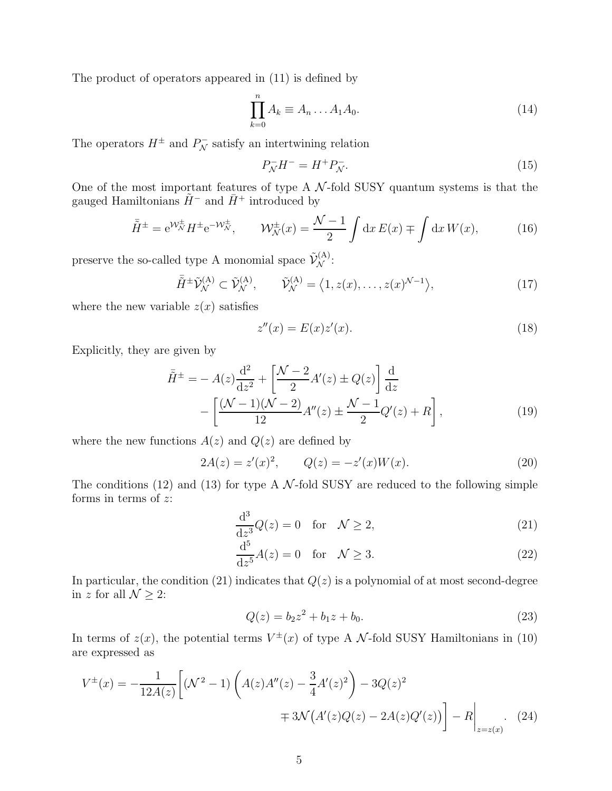The product of operators appeared in (11) is defined by

$$
\prod_{k=0}^{n} A_k \equiv A_n \dots A_1 A_0. \tag{14}
$$

The operators  $H^{\pm}$  and  $P_{\mathcal{N}}^{-}$  satisfy an intertwining relation

$$
P_N^- H^- = H^+ P_N^-.
$$
\n(15)

One of the most important features of type A  $\mathcal{N}$ -fold SUSY quantum systems is that the gauged Hamiltonians  $\tilde{H}^-$  and  $\bar{H}^+$  introduced by

$$
\overline{\tilde{H}}^{\pm} = e^{\mathcal{W}_{\mathcal{N}}^{\pm}} H^{\pm} e^{-\mathcal{W}_{\mathcal{N}}^{\pm}}, \qquad \mathcal{W}_{\mathcal{N}}^{\pm}(x) = \frac{\mathcal{N}-1}{2} \int dx E(x) \mp \int dx W(x), \tag{16}
$$

preserve the so-called type A monomial space  $\tilde{\mathcal{V}}_{\mathcal{N}}^{(A)}$ :

$$
\tilde{H}^{\pm} \tilde{\mathcal{V}}_{\mathcal{N}}^{(\mathcal{A})} \subset \tilde{\mathcal{V}}_{\mathcal{N}}^{(\mathcal{A})}, \qquad \tilde{\mathcal{V}}_{\mathcal{N}}^{(\mathcal{A})} = \left\langle 1, z(x), \dots, z(x)^{\mathcal{N}-1} \right\rangle, \tag{17}
$$

where the new variable  $z(x)$  satisfies

$$
z''(x) = E(x)z'(x).
$$
 (18)

Explicitly, they are given by

$$
\bar{H}^{\pm} = -A(z)\frac{d^2}{dz^2} + \left[\frac{\mathcal{N} - 2}{2}A'(z) \pm Q(z)\right]\frac{d}{dz} - \left[\frac{(\mathcal{N} - 1)(\mathcal{N} - 2)}{12}A''(z) \pm \frac{\mathcal{N} - 1}{2}Q'(z) + R\right],
$$
\n(19)

where the new functions  $A(z)$  and  $Q(z)$  are defined by

$$
2A(z) = z'(x)^2, \qquad Q(z) = -z'(x)W(x). \tag{20}
$$

The conditions (12) and (13) for type A  $\mathcal{N}$ -fold SUSY are reduced to the following simple forms in terms of  $z$ :

$$
\frac{\mathrm{d}^3}{\mathrm{d}z^3}Q(z) = 0 \quad \text{for} \quad \mathcal{N} \ge 2,\tag{21}
$$

$$
\frac{\mathrm{d}^5}{\mathrm{d}z^5}A(z) = 0 \quad \text{for} \quad \mathcal{N} \ge 3. \tag{22}
$$

In particular, the condition (21) indicates that  $Q(z)$  is a polynomial of at most second-degree in z for all  $\mathcal{N} \geq 2$ :

$$
Q(z) = b_2 z^2 + b_1 z + b_0.
$$
\n(23)

In terms of  $z(x)$ , the potential terms  $V^{\pm}(x)$  of type A N-fold SUSY Hamiltonians in (10) are expressed as

$$
V^{\pm}(x) = -\frac{1}{12A(z)} \left[ (\mathcal{N}^2 - 1) \left( A(z)A''(z) - \frac{3}{4}A'(z)^2 \right) - 3Q(z)^2 \right]
$$

$$
\mp 3\mathcal{N}\left( A'(z)Q(z) - 2A(z)Q'(z) \right) - R \Big|_{z=z(x)}.
$$
 (24)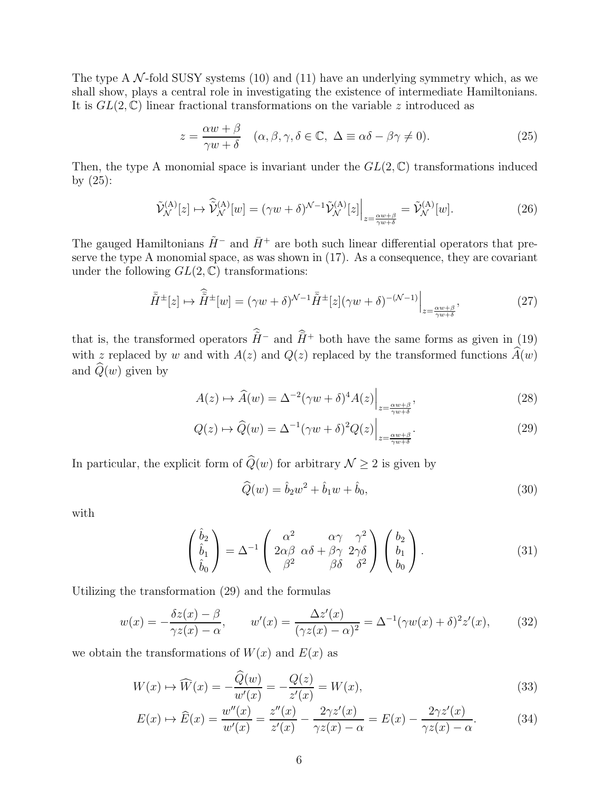The type A  $\mathcal{N}$ -fold SUSY systems (10) and (11) have an underlying symmetry which, as we shall show, plays a central role in investigating the existence of intermediate Hamiltonians. It is  $GL(2,\mathbb{C})$  linear fractional transformations on the variable z introduced as

$$
z = \frac{\alpha w + \beta}{\gamma w + \delta} \quad (\alpha, \beta, \gamma, \delta \in \mathbb{C}, \ \Delta \equiv \alpha \delta - \beta \gamma \neq 0). \tag{25}
$$

Then, the type A monomial space is invariant under the  $GL(2,\mathbb{C})$  transformations induced by  $(25)$ :

$$
\tilde{\mathcal{V}}_{\mathcal{N}}^{(\mathbf{A})}[z] \mapsto \hat{\tilde{\mathcal{V}}}_{\mathcal{N}}^{(\mathbf{A})}[w] = (\gamma w + \delta)^{\mathcal{N}-1} \tilde{\mathcal{V}}_{\mathcal{N}}^{(\mathbf{A})}[z] \Big|_{z = \frac{\alpha w + \beta}{\gamma w + \delta}} = \tilde{\mathcal{V}}_{\mathcal{N}}^{(\mathbf{A})}[w]. \tag{26}
$$

The gauged Hamiltonians  $\tilde{H}^-$  and  $\bar{H}^+$  are both such linear differential operators that preserve the type A monomial space, as was shown in (17). As a consequence, they are covariant under the following  $GL(2,\mathbb{C})$  transformations:

$$
\bar{\tilde{H}}^{\pm}[z] \mapsto \hat{\tilde{H}}^{\pm}[w] = (\gamma w + \delta)^{\mathcal{N}-1} \bar{\tilde{H}}^{\pm}[z](\gamma w + \delta)^{-(\mathcal{N}-1)} \Big|_{z = \frac{\alpha w + \beta}{\gamma w + \delta}},\tag{27}
$$

that is, the transformed operators  $\tilde{H}^-$  and  $\tilde{H}^+$  both have the same forms as given in (19) with z replaced by w and with  $A(z)$  and  $Q(z)$  replaced by the transformed functions  $\hat{A}(w)$ and  $\widehat{Q}(w)$  given by

$$
A(z) \mapsto \widehat{A}(w) = \Delta^{-2} (\gamma w + \delta)^4 A(z) \Big|_{z = \frac{\alpha w + \beta}{\gamma w + \delta}},
$$
\n(28)

$$
Q(z) \mapsto \widehat{Q}(w) = \Delta^{-1} (\gamma w + \delta)^2 Q(z) \Big|_{z = \frac{\alpha w + \beta}{\gamma w + \delta}}.
$$
\n(29)

In particular, the explicit form of  $\widehat{Q}(w)$  for arbitrary  $\mathcal{N} \geq 2$  is given by

$$
\widehat{Q}(w) = \widehat{b}_2 w^2 + \widehat{b}_1 w + \widehat{b}_0,
$$
\n(30)

with

$$
\begin{pmatrix}\n\hat{b}_2 \\
\hat{b}_1 \\
\hat{b}_0\n\end{pmatrix} = \Delta^{-1} \begin{pmatrix}\n\alpha^2 & \alpha\gamma & \gamma^2 \\
2\alpha\beta & \alpha\delta + \beta\gamma & 2\gamma\delta \\
\beta^2 & \beta\delta & \delta^2\n\end{pmatrix} \begin{pmatrix}\nb_2 \\
b_1 \\
b_0\n\end{pmatrix}.
$$
\n(31)

Utilizing the transformation (29) and the formulas

$$
w(x) = -\frac{\delta z(x) - \beta}{\gamma z(x) - \alpha}, \qquad w'(x) = \frac{\Delta z'(x)}{(\gamma z(x) - \alpha)^2} = \Delta^{-1}(\gamma w(x) + \delta)^2 z'(x), \tag{32}
$$

we obtain the transformations of  $W(x)$  and  $E(x)$  as

$$
W(x) \to \widehat{W}(x) = -\frac{\widehat{Q}(w)}{w'(x)} = -\frac{Q(z)}{z'(x)} = W(x),
$$
\n(33)

$$
E(x) \mapsto \widehat{E}(x) = \frac{w''(x)}{w'(x)} = \frac{z''(x)}{z'(x)} - \frac{2\gamma z'(x)}{\gamma z(x) - \alpha} = E(x) - \frac{2\gamma z'(x)}{\gamma z(x) - \alpha}.
$$
 (34)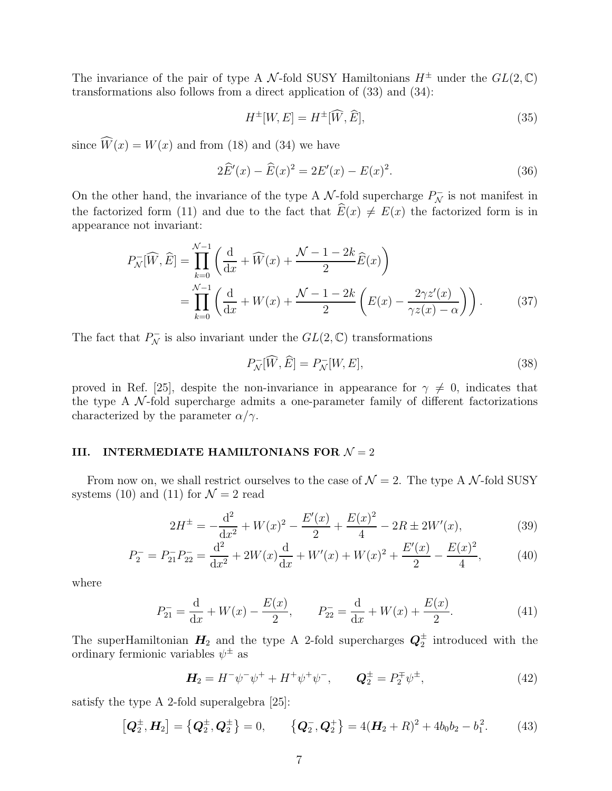The invariance of the pair of type A N-fold SUSY Hamiltonians  $H^{\pm}$  under the  $GL(2,\mathbb{C})$ transformations also follows from a direct application of (33) and (34):

$$
H^{\pm}[W,E] = H^{\pm}[\widehat{W},\widehat{E}],\tag{35}
$$

since  $\widehat{W}(x) = W(x)$  and from (18) and (34) we have

$$
2\widehat{E}'(x) - \widehat{E}(x)^2 = 2E'(x) - E(x)^2.
$$
 (36)

On the other hand, the invariance of the type A  $\mathcal{N}$ -fold supercharge  $P_{\mathcal{N}}^-$  is not manifest in the factorized form (11) and due to the fact that  $\widehat{E}(x) \neq E(x)$  the factorized form is in appearance not invariant:

$$
P_N^-(\widehat{W}, \widehat{E}) = \prod_{k=0}^{N-1} \left( \frac{d}{dx} + \widehat{W}(x) + \frac{N-1-2k}{2} \widehat{E}(x) \right)
$$
  
= 
$$
\prod_{k=0}^{N-1} \left( \frac{d}{dx} + W(x) + \frac{N-1-2k}{2} \left( E(x) - \frac{2\gamma z'(x)}{\gamma z(x) - \alpha} \right) \right).
$$
 (37)

The fact that  $P_{\mathcal{N}}^-$  is also invariant under the  $GL(2,\mathbb{C})$  transformations

$$
P_{\mathcal{N}}^{-}[\widehat{W}, \widehat{E}] = P_{\mathcal{N}}^{-}[W, E], \tag{38}
$$

proved in Ref. [25], despite the non-invariance in appearance for  $\gamma \neq 0$ , indicates that the type A  $\mathcal N$ -fold supercharge admits a one-parameter family of different factorizations characterized by the parameter  $\alpha/\gamma$ .

# III. INTERMEDIATE HAMILTONIANS FOR  $\mathcal{N}=2$

From now on, we shall restrict ourselves to the case of  $\mathcal{N}=2$ . The type A  $\mathcal{N}$ -fold SUSY systems (10) and (11) for  $\mathcal{N}=2$  read

$$
2H^{\pm} = -\frac{d^2}{dx^2} + W(x)^2 - \frac{E'(x)}{2} + \frac{E(x)^2}{4} - 2R \pm 2W'(x),\tag{39}
$$

$$
P_2^- = P_{21}^- P_{22}^- = \frac{d^2}{dx^2} + 2W(x)\frac{d}{dx} + W'(x) + W(x)^2 + \frac{E'(x)}{2} - \frac{E(x)^2}{4},\tag{40}
$$

where

$$
P_{21}^{-} = \frac{d}{dx} + W(x) - \frac{E(x)}{2}, \qquad P_{22}^{-} = \frac{d}{dx} + W(x) + \frac{E(x)}{2}.
$$
 (41)

The superHamiltonian  $H_2$  and the type A 2-fold supercharges  $Q_2^{\pm}$  introduced with the ordinary fermionic variables  $\psi^{\pm}$  as

$$
\mathbf{H}_2 = H^- \psi^- \psi^+ + H^+ \psi^+ \psi^-, \qquad \mathbf{Q}_2^{\pm} = P_2^{\mp} \psi^{\pm}, \tag{42}
$$

satisfy the type A 2-fold superalgebra [25]:

$$
[\mathbf{Q}_2^{\pm}, \mathbf{H}_2] = {\mathbf{Q}_2^{\pm}, \mathbf{Q}_2^{\pm} } = 0, \qquad {\mathbf{Q}_2^-, \mathbf{Q}_2^+ } = 4(\mathbf{H}_2 + R)^2 + 4b_0b_2 - b_1^2. \tag{43}
$$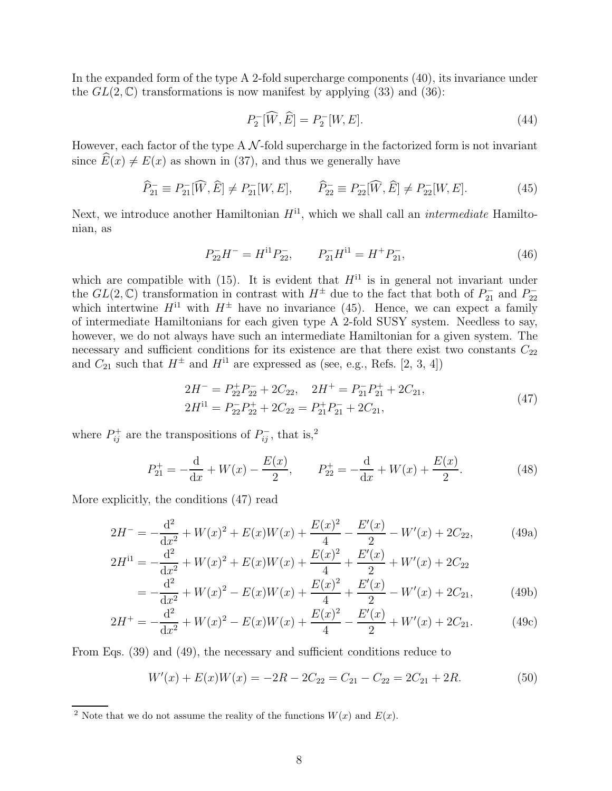In the expanded form of the type A 2-fold supercharge components (40), its invariance under the  $GL(2,\mathbb{C})$  transformations is now manifest by applying (33) and (36):

$$
P_2^-[{\widehat W},{\widehat E}] = P_2^-[W,E].\tag{44}
$$

However, each factor of the type A  $\mathcal N$ -fold supercharge in the factorized form is not invariant since  $E(x) \neq E(x)$  as shown in (37), and thus we generally have

$$
\widehat{P}_{21}^{-} \equiv P_{21}^{-}[\widehat{W}, \widehat{E}] \neq P_{21}^{-}[W, E], \qquad \widehat{P}_{22}^{-} \equiv P_{22}^{-}[\widehat{W}, \widehat{E}] \neq P_{22}^{-}[W, E]. \tag{45}
$$

Next, we introduce another Hamiltonian  $H^{11}$ , which we shall call an *intermediate* Hamiltonian, as

$$
P_{22}^-H^- = H^{11}P_{22}^-, \qquad P_{21}^-H^{11} = H^+P_{21}^-, \tag{46}
$$

which are compatible with (15). It is evident that  $H<sup>11</sup>$  is in general not invariant under the  $GL(2,\mathbb{C})$  transformation in contrast with  $H^{\pm}$  due to the fact that both of  $P_{21}^-$  and  $P_{22}^$ which intertwine  $H^{11}$  with  $H^{\pm}$  have no invariance (45). Hence, we can expect a family of intermediate Hamiltonians for each given type A 2-fold SUSY system. Needless to say, however, we do not always have such an intermediate Hamiltonian for a given system. The necessary and sufficient conditions for its existence are that there exist two constants  $C_{22}$ and  $C_{21}$  such that  $H^{\pm}$  and  $H^{i1}$  are expressed as (see, e.g., Refs. [2, 3, 4])

$$
2H^- = P_{22}^+ P_{22}^- + 2C_{22}, \quad 2H^+ = P_{21}^- P_{21}^+ + 2C_{21},
$$
  
\n
$$
2H^{11} = P_{22}^- P_{22}^+ + 2C_{22} = P_{21}^+ P_{21}^- + 2C_{21},
$$
\n(47)

where  $P_{ij}^+$  are the transpositions of  $P_{ij}^-$ , that is,<sup>2</sup>

$$
P_{21}^{+} = -\frac{d}{dx} + W(x) - \frac{E(x)}{2}, \qquad P_{22}^{+} = -\frac{d}{dx} + W(x) + \frac{E(x)}{2}.
$$
 (48)

More explicitly, the conditions (47) read

$$
2H^{-} = -\frac{d^{2}}{dx^{2}} + W(x)^{2} + E(x)W(x) + \frac{E(x)^{2}}{4} - \frac{E'(x)}{2} - W'(x) + 2C_{22},
$$
 (49a)

$$
2H^{11} = -\frac{d^2}{dx^2} + W(x)^2 + E(x)W(x) + \frac{E(x)^2}{4} + \frac{E'(x)}{2} + W'(x) + 2C_{22}
$$
  
= 
$$
-\frac{d^2}{dx^2} + W(x)^2 - E(x)W(x) + \frac{E(x)^2}{4} + \frac{E'(x)}{2} - W'(x) + 2C_{21},
$$
(49b)

$$
2H^{+} = -\frac{d^{2}}{dx^{2}} + W(x)^{2} - E(x)W(x) + \frac{E(x)^{2}}{4} - \frac{E'(x)}{2} + W'(x) + 2C_{21}.
$$
 (49c)

From Eqs. (39) and (49), the necessary and sufficient conditions reduce to

$$
W'(x) + E(x)W(x) = -2R - 2C_{22} = C_{21} - C_{22} = 2C_{21} + 2R.
$$
 (50)

<sup>&</sup>lt;sup>2</sup> Note that we do not assume the reality of the functions  $W(x)$  and  $E(x)$ .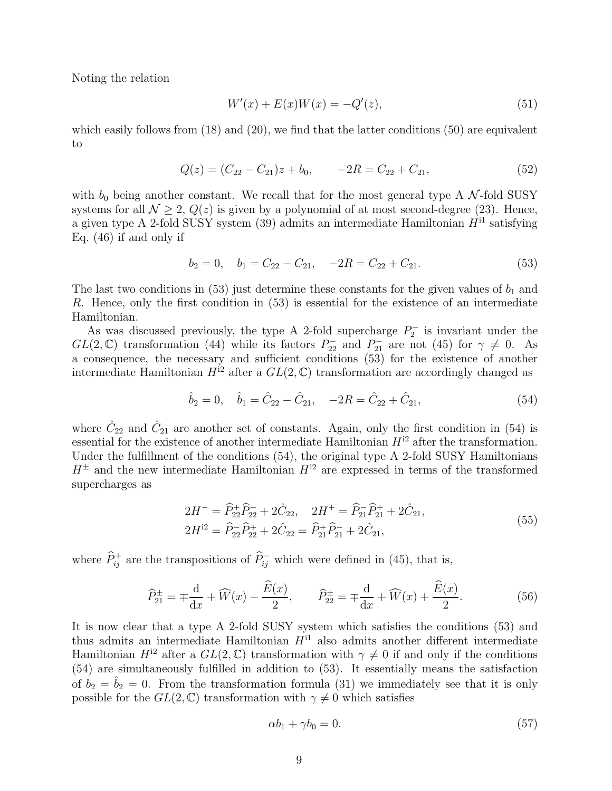Noting the relation

$$
W'(x) + E(x)W(x) = -Q'(z),
$$
\n(51)

which easily follows from  $(18)$  and  $(20)$ , we find that the latter conditions  $(50)$  are equivalent to

$$
Q(z) = (C_{22} - C_{21})z + b_0, \qquad -2R = C_{22} + C_{21}, \tag{52}
$$

with  $b_0$  being another constant. We recall that for the most general type A N-fold SUSY systems for all  $\mathcal{N} > 2$ ,  $Q(z)$  is given by a polynomial of at most second-degree (23). Hence, a given type A 2-fold SUSY system (39) admits an intermediate Hamiltonian  $H^{11}$  satisfying Eq. (46) if and only if

$$
b_2 = 0, \quad b_1 = C_{22} - C_{21}, \quad -2R = C_{22} + C_{21}.
$$
\n
$$
(53)
$$

The last two conditions in (53) just determine these constants for the given values of  $b_1$  and R. Hence, only the first condition in (53) is essential for the existence of an intermediate Hamiltonian.

As was discussed previously, the type A 2-fold supercharge  $P_2^$  $b_2^{\prime -}$  is invariant under the  $GL(2,\mathbb{C})$  transformation (44) while its factors  $P_{22}^-$  and  $P_{21}^-$  are not (45) for  $\gamma \neq 0$ . As a consequence, the necessary and sufficient conditions (53) for the existence of another intermediate Hamiltonian  $H^{12}$  after a  $GL(2,\mathbb{C})$  transformation are accordingly changed as

$$
\hat{b}_2 = 0, \quad \hat{b}_1 = \hat{C}_{22} - \hat{C}_{21}, \quad -2R = \hat{C}_{22} + \hat{C}_{21}, \tag{54}
$$

where  $\hat{C}_{22}$  and  $\hat{C}_{21}$  are another set of constants. Again, only the first condition in (54) is essential for the existence of another intermediate Hamiltonian  $H^{12}$  after the transformation. Under the fulfillment of the conditions (54), the original type A 2-fold SUSY Hamiltonians  $H^{\pm}$  and the new intermediate Hamiltonian  $H^{12}$  are expressed in terms of the transformed supercharges as

$$
2H^{-} = \widehat{P}_{22}^{+}\widehat{P}_{22}^{-} + 2\widehat{C}_{22}, \quad 2H^{+} = \widehat{P}_{21}^{-}\widehat{P}_{21}^{+} + 2\widehat{C}_{21},
$$
  
\n
$$
2H^{12} = \widehat{P}_{22}^{-}\widehat{P}_{22}^{+} + 2\widehat{C}_{22} = \widehat{P}_{21}^{+}\widehat{P}_{21}^{-} + 2\widehat{C}_{21},
$$
\n(55)

where  $\widehat{P}_{ij}^+$  are the transpositions of  $\widehat{P}_{ij}^-$  which were defined in (45), that is,

$$
\widehat{P}_{21}^{\pm} = \mp \frac{d}{dx} + \widehat{W}(x) - \frac{\widehat{E}(x)}{2}, \qquad \widehat{P}_{22}^{\pm} = \mp \frac{d}{dx} + \widehat{W}(x) + \frac{\widehat{E}(x)}{2}.
$$
 (56)

It is now clear that a type A 2-fold SUSY system which satisfies the conditions (53) and thus admits an intermediate Hamiltonian  $H^{11}$  also admits another different intermediate Hamiltonian  $H^{12}$  after a  $GL(2,\mathbb{C})$  transformation with  $\gamma \neq 0$  if and only if the conditions (54) are simultaneously fulfilled in addition to (53). It essentially means the satisfaction of  $b_2 = \hat{b}_2 = 0$ . From the transformation formula (31) we immediately see that it is only possible for the  $GL(2,\mathbb{C})$  transformation with  $\gamma \neq 0$  which satisfies

$$
\alpha b_1 + \gamma b_0 = 0. \tag{57}
$$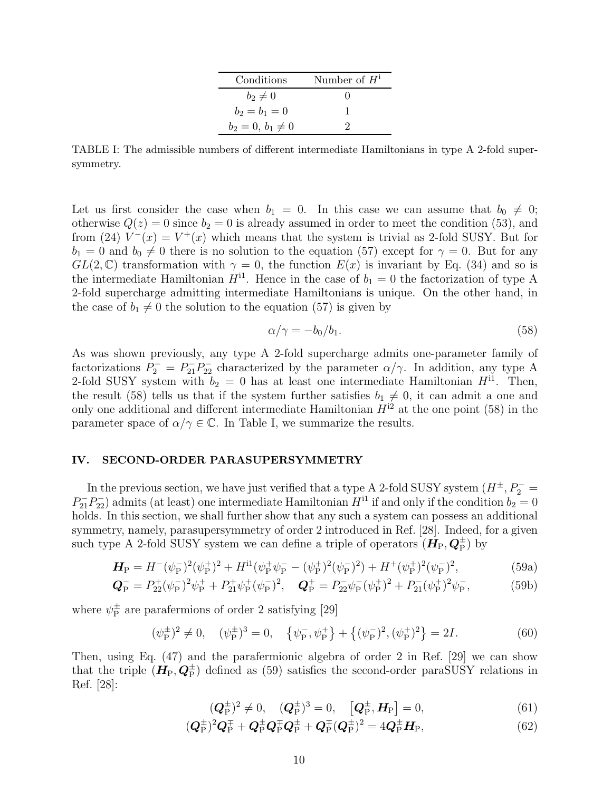| Conditions            | Number of $H^1$ |
|-----------------------|-----------------|
| $b_2\neq 0$           |                 |
| $b_2 = b_1 = 0$       |                 |
| $b_2 = 0, b_1 \neq 0$ |                 |

TABLE I: The admissible numbers of different intermediate Hamiltonians in type A 2-fold supersymmetry.

Let us first consider the case when  $b_1 = 0$ . In this case we can assume that  $b_0 \neq 0$ ; otherwise  $Q(z) = 0$  since  $b_2 = 0$  is already assumed in order to meet the condition (53), and from (24)  $V^-(x) = V^+(x)$  which means that the system is trivial as 2-fold SUSY. But for  $b_1 = 0$  and  $b_0 \neq 0$  there is no solution to the equation (57) except for  $\gamma = 0$ . But for any  $GL(2,\mathbb{C})$  transformation with  $\gamma=0$ , the function  $E(x)$  is invariant by Eq. (34) and so is the intermediate Hamiltonian  $H^{11}$ . Hence in the case of  $b_1 = 0$  the factorization of type A 2-fold supercharge admitting intermediate Hamiltonians is unique. On the other hand, in the case of  $b_1 \neq 0$  the solution to the equation (57) is given by

$$
\alpha/\gamma = -b_0/b_1. \tag{58}
$$

As was shown previously, any type A 2-fold supercharge admits one-parameter family of factorizations  $P_2^- = P_{21}^- P_{22}^-$  characterized by the parameter  $\alpha/\gamma$ . In addition, any type A 2-fold SUSY system with  $b_2 = 0$  has at least one intermediate Hamiltonian  $H^{11}$ . Then, the result (58) tells us that if the system further satisfies  $b_1 \neq 0$ , it can admit a one and only one additional and different intermediate Hamiltonian  $H^{i2}$  at the one point (58) in the parameter space of  $\alpha/\gamma \in \mathbb{C}$ . In Table I, we summarize the results.

## IV. SECOND-ORDER PARASUPERSYMMETRY

In the previous section, we have just verified that a type A 2-fold SUSY system  $(H^{\pm}, P_{2}^{-} =$  $P_{21}^{-}P_{22}^{-}$  admits (at least) one intermediate Hamiltonian  $H^{11}$  if and only if the condition  $b_2 = 0$ holds. In this section, we shall further show that any such a system can possess an additional symmetry, namely, parasupersymmetry of order 2 introduced in Ref. [28]. Indeed, for a given such type A 2-fold SUSY system we can define a triple of operators  $(H_P, Q_P^{\pm})$  by

$$
\mathbf{H}_{\rm P} = H^-(\psi_{\rm P}^-)^2(\psi_{\rm P}^+)^2 + H^{\rm il}(\psi_{\rm P}^+\psi_{\rm P}^- - (\psi_{\rm P}^+)^2(\psi_{\rm P}^-)^2) + H^+(\psi_{\rm P}^+)^2(\psi_{\rm P}^-)^2,\tag{59a}
$$

$$
\mathbf{Q}_{\rm P}^{-} = P_{22}^{+}(\psi_{\rm P}^{-})^{2}\psi_{\rm P}^{+} + P_{21}^{+}\psi_{\rm P}^{+}(\psi_{\rm P}^{-})^{2}, \quad \mathbf{Q}_{\rm P}^{+} = P_{22}^{-}\psi_{\rm P}^{-}(\psi_{\rm P}^{+})^{2} + P_{21}^{-}(\psi_{\rm P}^{+})^{2}\psi_{\rm P}^{-},\tag{59b}
$$

where  $\psi_{\rm P}^{\pm}$  $_{\rm P}^{\pm}$  are parafermions of order 2 satisfying [29]

$$
(\psi_{\mathcal{P}}^{\pm})^2 \neq 0, \quad (\psi_{\mathcal{P}}^{\pm})^3 = 0, \quad {\psi_{\mathcal{P}}^-, \psi_{\mathcal{P}}^+} + {\{(\psi_{\mathcal{P}}^-)^2, (\psi_{\mathcal{P}}^+)^2\}} = 2I. \tag{60}
$$

Then, using Eq. (47) and the parafermionic algebra of order 2 in Ref. [29] we can show that the triple  $(H_P, Q_P^{\pm})$  defined as (59) satisfies the second-order paraSUSY relations in Ref. [28]:

$$
(\mathbf{Q}_{\mathbf{P}}^{\pm})^2 \neq 0, \quad (\mathbf{Q}_{\mathbf{P}}^{\pm})^3 = 0, \quad [\mathbf{Q}_{\mathbf{P}}^{\pm}, \mathbf{H}_{\mathbf{P}}] = 0, \tag{61}
$$

$$
(Q_P^{\pm})^2 Q_P^{\mp} + Q_P^{\pm} Q_P^{\mp} Q_P^{\pm} + Q_P^{\mp} (Q_P^{\pm})^2 = 4 Q_P^{\pm} H_P, \tag{62}
$$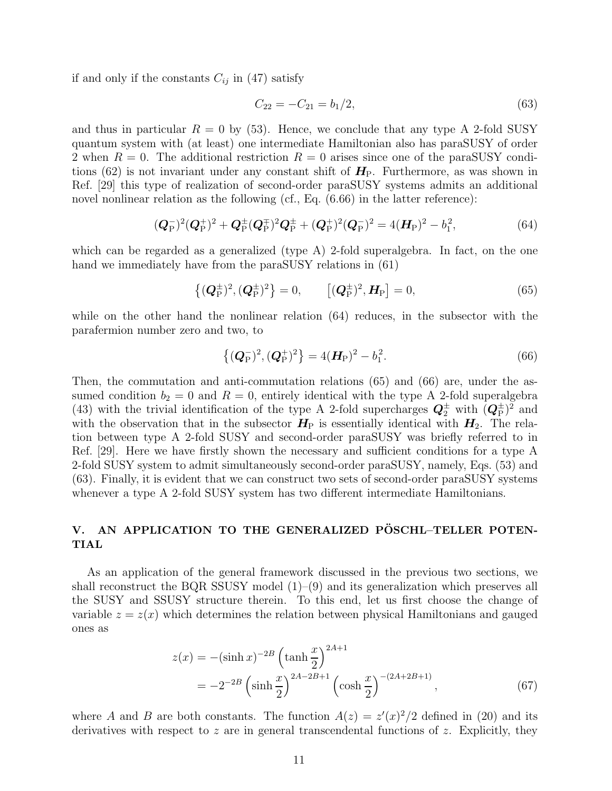if and only if the constants  $C_{ij}$  in (47) satisfy

$$
C_{22} = -C_{21} = b_1/2, \tag{63}
$$

and thus in particular  $R = 0$  by (53). Hence, we conclude that any type A 2-fold SUSY quantum system with (at least) one intermediate Hamiltonian also has paraSUSY of order 2 when  $R = 0$ . The additional restriction  $R = 0$  arises since one of the paraSUSY conditions (62) is not invariant under any constant shift of  $H_P$ . Furthermore, as was shown in Ref. [29] this type of realization of second-order paraSUSY systems admits an additional novel nonlinear relation as the following (cf., Eq. (6.66) in the latter reference):

$$
(Q_{\rm P}^{-})^2 (Q_{\rm P}^{+})^2 + Q_{\rm P}^{\pm} (Q_{\rm P}^{\mp})^2 Q_{\rm P}^{\pm} + (Q_{\rm P}^{+})^2 (Q_{\rm P}^{-})^2 = 4(H_{\rm P})^2 - b_1^2,
$$
\n(64)

which can be regarded as a generalized (type A) 2-fold superalgebra. In fact, on the one hand we immediately have from the paraSUSY relations in  $(61)$ 

$$
\left\{ (\mathbf{Q}_{\mathrm{P}}^{\pm})^2, (\mathbf{Q}_{\mathrm{P}}^{\pm})^2 \right\} = 0, \qquad \left[ (\mathbf{Q}_{\mathrm{P}}^{\pm})^2, \mathbf{H}_{\mathrm{P}} \right] = 0, \tag{65}
$$

while on the other hand the nonlinear relation (64) reduces, in the subsector with the parafermion number zero and two, to

$$
\left\{ (\boldsymbol{Q}_{\mathrm{P}}^{-})^{2}, (\boldsymbol{Q}_{\mathrm{P}}^{+})^{2} \right\} = 4(\boldsymbol{H}_{\mathrm{P}})^{2} - b_{1}^{2}.
$$
 (66)

Then, the commutation and anti-commutation relations (65) and (66) are, under the assumed condition  $b_2 = 0$  and  $R = 0$ , entirely identical with the type A 2-fold superalgebra (43) with the trivial identification of the type A 2-fold supercharges  $Q_2^{\pm}$  with  $(Q_P^{\pm})^2$  and with the observation that in the subsector  $H_P$  is essentially identical with  $H_2$ . The relation between type A 2-fold SUSY and second-order paraSUSY was briefly referred to in Ref. [29]. Here we have firstly shown the necessary and sufficient conditions for a type A 2-fold SUSY system to admit simultaneously second-order paraSUSY, namely, Eqs. (53) and (63). Finally, it is evident that we can construct two sets of second-order paraSUSY systems whenever a type A 2-fold SUSY system has two different intermediate Hamiltonians.

# V. AN APPLICATION TO THE GENERALIZED PÖSCHL-TELLER POTEN-TIAL

As an application of the general framework discussed in the previous two sections, we shall reconstruct the BQR SSUSY model  $(1)$ – $(9)$  and its generalization which preserves all the SUSY and SSUSY structure therein. To this end, let us first choose the change of variable  $z = z(x)$  which determines the relation between physical Hamiltonians and gauged ones as

$$
z(x) = -(\sinh x)^{-2B} \left(\tanh \frac{x}{2}\right)^{2A+1}
$$
  
=  $-2^{-2B} \left(\sinh \frac{x}{2}\right)^{2A-2B+1} \left(\cosh \frac{x}{2}\right)^{-(2A+2B+1)},$  (67)

where A and B are both constants. The function  $A(z) = z'(x)^2/2$  defined in (20) and its derivatives with respect to z are in general transcendental functions of z. Explicitly, they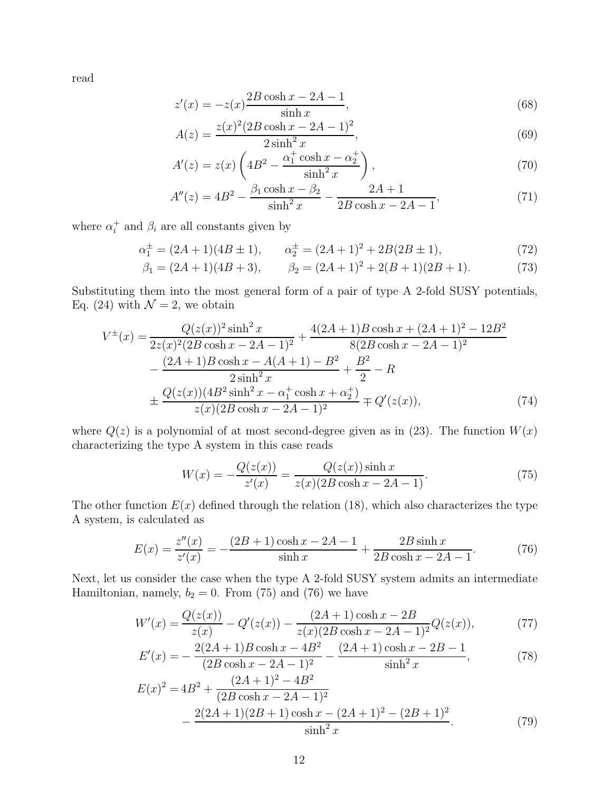read

$$
z'(x) = -z(x)\frac{2B\cosh x - 2A - 1}{\sinh x},
$$
\n(68)

$$
A(z) = \frac{z(x)^2 (2B \cosh x - 2A - 1)^2}{2 \sinh^2 x},
$$
\n(69)

$$
A'(z) = z(x) \left( 4B^2 - \frac{\alpha_1^+ \cosh x - \alpha_2^+}{\sinh^2 x} \right),\tag{70}
$$

$$
A''(z) = 4B^2 - \frac{\beta_1 \cosh x - \beta_2}{\sinh^2 x} - \frac{2A + 1}{2B \cosh x - 2A - 1},
$$
\n(71)

where  $\alpha_i^+$  and  $\beta_i$  are all constants given by

$$
\alpha_1^{\pm} = (2A + 1)(4B \pm 1), \qquad \alpha_2^{\pm} = (2A + 1)^2 + 2B(2B \pm 1), \tag{72}
$$

$$
\beta_1 = (2A+1)(4B+3), \qquad \beta_2 = (2A+1)^2 + 2(B+1)(2B+1). \tag{73}
$$

Substituting them into the most general form of a pair of type A 2-fold SUSY potentials, Eq. (24) with  $\mathcal{N} = 2$ , we obtain

$$
V^{\pm}(x) = \frac{Q(z(x))^{2} \sinh^{2} x}{2z(x)^{2}(2B \cosh x - 2A - 1)^{2}} + \frac{4(2A + 1)B \cosh x + (2A + 1)^{2} - 12B^{2}}{8(2B \cosh x - 2A - 1)^{2}} - \frac{(2A + 1)B \cosh x - A(A + 1) - B^{2}}{2 \sinh^{2} x} + \frac{B^{2}}{2} - R + \frac{Q(z(x))(4B^{2} \sinh^{2} x - \alpha_{1}^{+} \cosh x + \alpha_{2}^{+})}{z(x)(2B \cosh x - 2A - 1)^{2}} \mp Q'(z(x)), \tag{74}
$$

where  $Q(z)$  is a polynomial of at most second-degree given as in (23). The function  $W(x)$ characterizing the type A system in this case reads

$$
W(x) = -\frac{Q(z(x))}{z'(x)} = \frac{Q(z(x))\sinh x}{z(x)(2B\cosh x - 2A - 1)}.
$$
\n(75)

The other function  $E(x)$  defined through the relation (18), which also characterizes the type A system, is calculated as

$$
E(x) = \frac{z''(x)}{z'(x)} = -\frac{(2B+1)\cosh x - 2A - 1}{\sinh x} + \frac{2B\sinh x}{2B\cosh x - 2A - 1}.
$$
 (76)

Next, let us consider the case when the type A 2-fold SUSY system admits an intermediate Hamiltonian, namely,  $b_2 = 0$ . From (75) and (76) we have

$$
W'(x) = \frac{Q(z(x))}{z(x)} - Q'(z(x)) - \frac{(2A+1)\cosh x - 2B}{z(x)(2B\cosh x - 2A - 1)^2}Q(z(x)),\tag{77}
$$

$$
E'(x) = -\frac{2(2A+1)B\cosh x - 4B^2}{(2B\cosh x - 2A - 1)^2} - \frac{(2A+1)\cosh x - 2B - 1}{\sinh^2 x},
$$
(78)

$$
E(x)^{2} = 4B^{2} + \frac{(2A + 1)^{2} - 4B^{2}}{(2B \cosh x - 2A - 1)^{2}} - \frac{2(2A + 1)(2B + 1)\cosh x - (2A + 1)^{2} - (2B + 1)^{2}}{\sinh^{2} x}.
$$
 (79)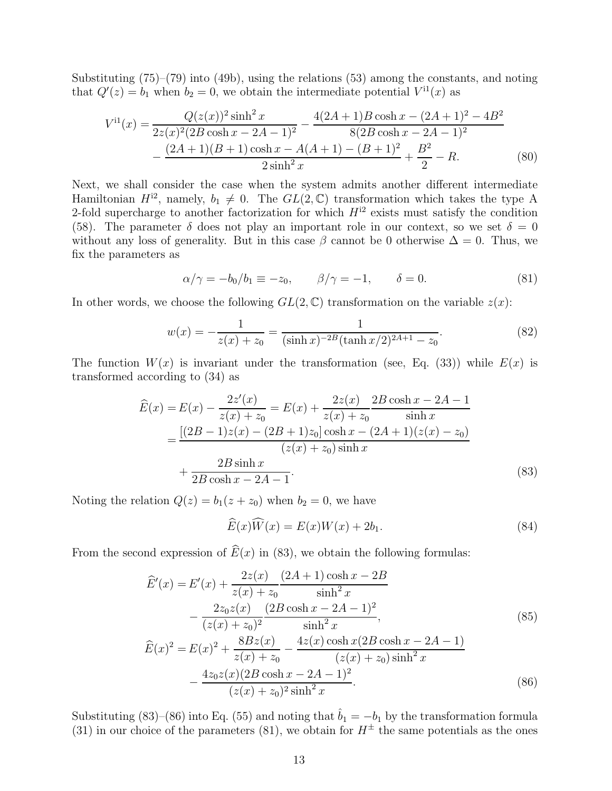Substituting (75)–(79) into (49b), using the relations (53) among the constants, and noting that  $Q'(z) = b_1$  when  $b_2 = 0$ , we obtain the intermediate potential  $V^{11}(x)$  as

$$
V^{i1}(x) = \frac{Q(z(x))^{2} \sinh^{2} x}{2z(x)^{2} (2B \cosh x - 2A - 1)^{2}} - \frac{4(2A + 1)B \cosh x - (2A + 1)^{2} - 4B^{2}}{8(2B \cosh x - 2A - 1)^{2}} - \frac{(2A + 1)(B + 1)\cosh x - A(A + 1) - (B + 1)^{2}}{2\sinh^{2} x} + \frac{B^{2}}{2} - R.
$$
 (80)

Next, we shall consider the case when the system admits another different intermediate Hamiltonian  $H^{i2}$ , namely,  $b_1 \neq 0$ . The  $GL(2,\mathbb{C})$  transformation which takes the type A 2-fold supercharge to another factorization for which  $H^{12}$  exists must satisfy the condition (58). The parameter  $\delta$  does not play an important role in our context, so we set  $\delta = 0$ without any loss of generality. But in this case  $\beta$  cannot be 0 otherwise  $\Delta = 0$ . Thus, we fix the parameters as

$$
\alpha/\gamma = -b_0/b_1 \equiv -z_0, \qquad \beta/\gamma = -1, \qquad \delta = 0. \tag{81}
$$

In other words, we choose the following  $GL(2,\mathbb{C})$  transformation on the variable  $z(x)$ :

$$
w(x) = -\frac{1}{z(x) + z_0} = \frac{1}{(\sinh x)^{-2B} (\tanh x/2)^{2A+1} - z_0}.
$$
 (82)

The function  $W(x)$  is invariant under the transformation (see, Eq. (33)) while  $E(x)$  is transformed according to (34) as

$$
\widehat{E}(x) = E(x) - \frac{2z'(x)}{z(x) + z_0} = E(x) + \frac{2z(x)}{z(x) + z_0} \frac{2B\cosh x - 2A - 1}{\sinh x}
$$

$$
= \frac{[(2B - 1)z(x) - (2B + 1)z_0]\cosh x - (2A + 1)(z(x) - z_0)}{(z(x) + z_0)\sinh x}
$$

$$
+ \frac{2B\sinh x}{2B\cosh x - 2A - 1}.
$$
(83)

Noting the relation  $Q(z) = b_1(z + z_0)$  when  $b_2 = 0$ , we have

$$
\widehat{E}(x)\widehat{W}(x) = E(x)W(x) + 2b_1.
$$
\n(84)

From the second expression of  $\widehat{E}(x)$  in (83), we obtain the following formulas:

$$
\widehat{E}'(x) = E'(x) + \frac{2z(x)}{z(x) + z_0} \frac{(2A+1)\cosh x - 2B}{\sinh^2 x} \n- \frac{2z_0z(x)}{(z(x) + z_0)^2} \frac{(2B\cosh x - 2A - 1)^2}{\sinh^2 x},
$$
\n
$$
\widehat{E}(x)^2 = E(x)^2 + \frac{8Bz(x)}{z(x) + z_0} - \frac{4z(x)\cosh x(2B\cosh x - 2A - 1)}{(z(x) + z_0)\sinh^2 x}
$$
\n(85)

$$
\frac{z(x) + z_0}{z(x) + z_0} \frac{(z(x) + z_0)\sinh^2 x}{(z(x) + z_0)^2 \sinh^2 x} - \frac{4z_0 z(x)(2B\cosh x - 2A - 1)^2}{(z(x) + z_0)^2 \sinh^2 x}.
$$
 (86)

Substituting (83)–(86) into Eq. (55) and noting that  $\hat{b}_1 = -b_1$  by the transformation formula (31) in our choice of the parameters (81), we obtain for  $H^{\pm}$  the same potentials as the ones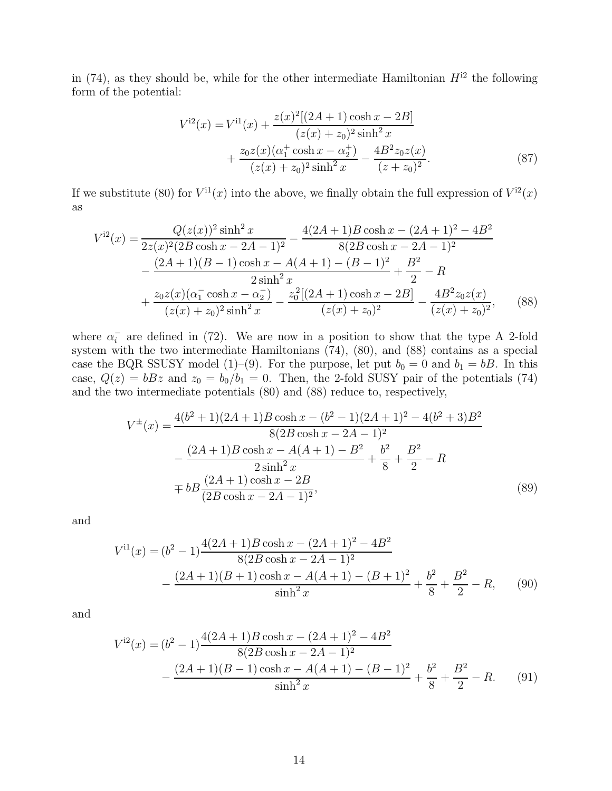in (74), as they should be, while for the other intermediate Hamiltonian  $H^{12}$  the following form of the potential:

$$
V^{i2}(x) = V^{i1}(x) + \frac{z(x)^{2}[(2A+1)\cosh x - 2B]}{(z(x) + z_{0})^{2}\sinh^{2} x} + \frac{z_{0}z(x)(\alpha_{1}^{+}\cosh x - \alpha_{2}^{+})}{(z(x) + z_{0})^{2}\sinh^{2} x} - \frac{4B^{2}z_{0}z(x)}{(z + z_{0})^{2}}.
$$
\n(87)

If we substitute (80) for  $V^{11}(x)$  into the above, we finally obtain the full expression of  $V^{12}(x)$ as

$$
V^{i2}(x) = \frac{Q(z(x))^{2} \sinh^{2} x}{2z(x)^{2}(2B \cosh x - 2A - 1)^{2}} - \frac{4(2A + 1)B \cosh x - (2A + 1)^{2} - 4B^{2}}{8(2B \cosh x - 2A - 1)^{2}} - \frac{(2A + 1)(B - 1)\cosh x - A(A + 1) - (B - 1)^{2}}{2\sinh^{2} x} + \frac{B^{2}}{2} - R + \frac{z_{0}z(x)(\alpha_{1}^{-}\cosh x - \alpha_{2}^{-})}{(z(x) + z_{0})^{2}\sinh^{2} x} - \frac{z_{0}^{2}[(2A + 1)\cosh x - 2B]}{(z(x) + z_{0})^{2}} - \frac{4B^{2}z_{0}z(x)}{(z(x) + z_{0})^{2}},
$$
(88)

where  $\alpha_i^ \overline{i}$  are defined in (72). We are now in a position to show that the type A 2-fold system with the two intermediate Hamiltonians (74), (80), and (88) contains as a special case the BQR SSUSY model (1)–(9). For the purpose, let put  $b_0 = 0$  and  $b_1 = bB$ . In this case,  $Q(z) = bBz$  and  $z_0 = b_0/b_1 = 0$ . Then, the 2-fold SUSY pair of the potentials (74) and the two intermediate potentials (80) and (88) reduce to, respectively,

$$
V^{\pm}(x) = \frac{4(b^2+1)(2A+1)B\cosh x - (b^2-1)(2A+1)^2 - 4(b^2+3)B^2}{8(2B\cosh x - 2A - 1)^2} -\frac{(2A+1)B\cosh x - A(A+1) - B^2}{2\sinh^2 x} + \frac{b^2}{8} + \frac{B^2}{2} - R \mp bB\frac{(2A+1)\cosh x - 2B}{(2B\cosh x - 2A - 1)^2},
$$
\n(89)

and

$$
V^{i1}(x) = (b^2 - 1) \frac{4(2A + 1)B \cosh x - (2A + 1)^2 - 4B^2}{8(2B \cosh x - 2A - 1)^2} - \frac{(2A + 1)(B + 1)\cosh x - A(A + 1) - (B + 1)^2}{\sinh^2 x} + \frac{b^2}{8} + \frac{B^2}{2} - R,
$$
 (90)

and

$$
V^{i2}(x) = (b^2 - 1) \frac{4(2A + 1)B \cosh x - (2A + 1)^2 - 4B^2}{8(2B \cosh x - 2A - 1)^2} - \frac{(2A + 1)(B - 1)\cosh x - A(A + 1) - (B - 1)^2}{\sinh^2 x} + \frac{b^2}{8} + \frac{B^2}{2} - R.
$$
 (91)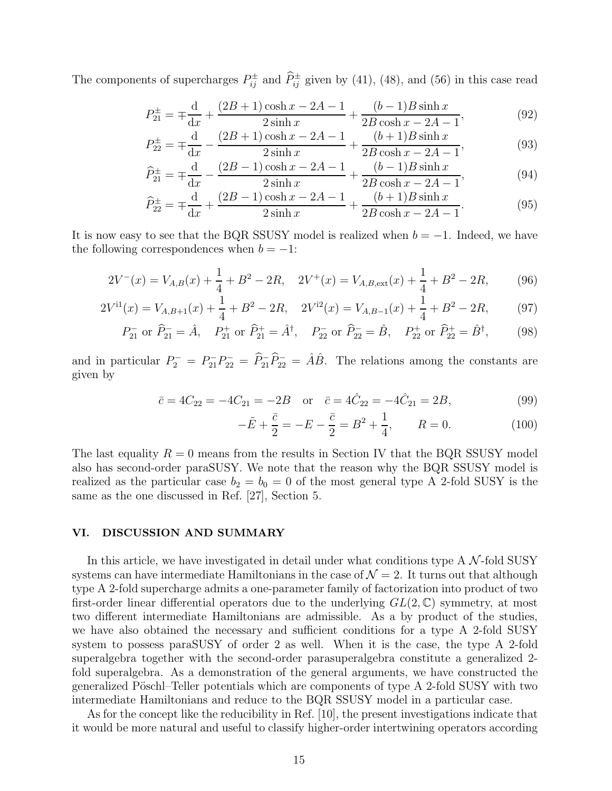The components of supercharges  $P_{ij}^{\pm}$  and  $\widehat{P}_{ij}^{\pm}$  given by (41), (48), and (56) in this case read

$$
P_{21}^{\pm} = \mp \frac{d}{dx} + \frac{(2B+1)\cosh x - 2A - 1}{2\sinh x} + \frac{(b-1)B\sinh x}{2B\cosh x - 2A - 1},
$$
(92)

$$
P_{22}^{\pm} = \mp \frac{d}{dx} - \frac{(2B+1)\cosh x - 2A - 1}{2\sinh x} + \frac{(b+1)B\sinh x}{2B\cosh x - 2A - 1},
$$
(93)

$$
\widehat{P}_{21}^{\pm} = \mp \frac{d}{dx} - \frac{(2B - 1)\cosh x - 2A - 1}{2\sinh x} + \frac{(b - 1)B\sinh x}{2B\cosh x - 2A - 1},
$$
\n(94)

$$
\widehat{P}_{22}^{\pm} = \mp \frac{d}{dx} + \frac{(2B - 1)\cosh x - 2A - 1}{2\sinh x} + \frac{(b + 1)B\sinh x}{2B\cosh x - 2A - 1}.
$$
\n(95)

It is now easy to see that the BQR SSUSY model is realized when  $b = -1$ . Indeed, we have the following correspondences when  $b = -1$ :

$$
2V^{-}(x) = V_{A,B}(x) + \frac{1}{4} + B^{2} - 2R, \quad 2V^{+}(x) = V_{A,B,\text{ext}}(x) + \frac{1}{4} + B^{2} - 2R,\tag{96}
$$

$$
2V^{11}(x) = V_{A,B+1}(x) + \frac{1}{4} + B^2 - 2R, \quad 2V^{12}(x) = V_{A,B-1}(x) + \frac{1}{4} + B^2 - 2R,\tag{97}
$$

$$
P_{21}^-
$$
 or  $\hat{P}_{21}^- = \hat{A}$ ,  $P_{21}^+$  or  $\hat{P}_{21}^+ = \hat{A}^\dagger$ ,  $P_{22}^-$  or  $\hat{P}_{22}^- = \hat{B}$ ,  $P_{22}^+$  or  $\hat{P}_{22}^+ = \hat{B}^\dagger$ , (98)

and in particular  $P_2^- = P_{21}^- P_{22}^- = \hat{P}_{21}^- \hat{P}_{22}^- = \hat{A}\hat{B}$ . The relations among the constants are given by

$$
\bar{c} = 4C_{22} = -4C_{21} = -2B
$$
 or  $\bar{c} = 4\hat{C}_{22} = -4\hat{C}_{21} = 2B,$  (99)

$$
-\tilde{E} + \frac{\bar{c}}{2} = -E - \frac{\bar{c}}{2} = B^2 + \frac{1}{4}, \qquad R = 0.
$$
 (100)

The last equality  $R = 0$  means from the results in Section IV that the BQR SSUSY model also has second-order paraSUSY. We note that the reason why the BQR SSUSY model is realized as the particular case  $b_2 = b_0 = 0$  of the most general type A 2-fold SUSY is the same as the one discussed in Ref. [27], Section 5.

## VI. DISCUSSION AND SUMMARY

In this article, we have investigated in detail under what conditions type  $A \mathcal{N}$ -fold SUSY systems can have intermediate Hamiltonians in the case of  $\mathcal{N}=2$ . It turns out that although type A 2-fold supercharge admits a one-parameter family of factorization into product of two first-order linear differential operators due to the underlying  $GL(2,\mathbb{C})$  symmetry, at most two different intermediate Hamiltonians are admissible. As a by product of the studies, we have also obtained the necessary and sufficient conditions for a type A 2-fold SUSY system to possess paraSUSY of order 2 as well. When it is the case, the type A 2-fold superalgebra together with the second-order parasuperalgebra constitute a generalized 2 fold superalgebra. As a demonstration of the general arguments, we have constructed the generalized Pöschl–Teller potentials which are components of type A 2-fold SUSY with two intermediate Hamiltonians and reduce to the BQR SSUSY model in a particular case.

As for the concept like the reducibility in Ref. [10], the present investigations indicate that it would be more natural and useful to classify higher-order intertwining operators according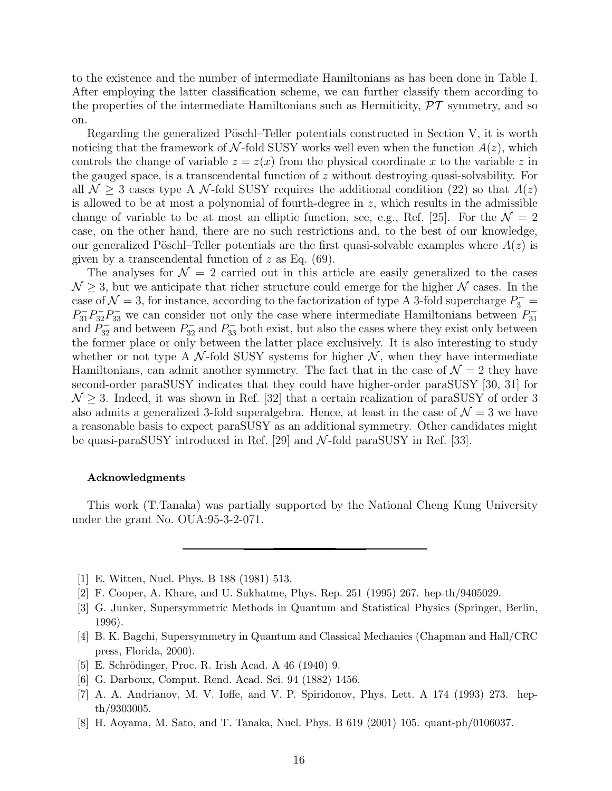to the existence and the number of intermediate Hamiltonians as has been done in Table I. After employing the latter classification scheme, we can further classify them according to the properties of the intermediate Hamiltonians such as Hermiticity,  $\mathcal{PT}$  symmetry, and so on.

Regarding the generalized Pöschl–Teller potentials constructed in Section V, it is worth noticing that the framework of N-fold SUSY works well even when the function  $A(z)$ , which controls the change of variable  $z = z(x)$  from the physical coordinate x to the variable z in the gauged space, is a transcendental function of z without destroying quasi-solvability. For all  $\mathcal{N} \geq 3$  cases type A  $\mathcal{N}$ -fold SUSY requires the additional condition (22) so that  $A(z)$ is allowed to be at most a polynomial of fourth-degree in  $z$ , which results in the admissible change of variable to be at most an elliptic function, see, e.g., Ref. [25]. For the  $\mathcal{N} = 2$ case, on the other hand, there are no such restrictions and, to the best of our knowledge, our generalized Pöschl–Teller potentials are the first quasi-solvable examples where  $A(z)$  is given by a transcendental function of  $z$  as Eq. (69).

The analyses for  $\mathcal{N} = 2$  carried out in this article are easily generalized to the cases  $\mathcal{N} \geq 3$ , but we anticipate that richer structure could emerge for the higher  $\mathcal{N}$  cases. In the case of  $\mathcal{N} = 3$ , for instance, according to the factorization of type A 3-fold supercharge  $P_3^ P_{31}^{-}P_{32}^{-}P_{33}^{-}$  we can consider not only the case where intermediate Hamiltonians between  $P_{31}^{-}$ 31 and  $P_{32}^-$  and between  $P_{32}^-$  and  $P_{33}^-$  both exist, but also the cases where they exist only between the former place or only between the latter place exclusively. It is also interesting to study whether or not type A  $\mathcal{N}$ -fold SUSY systems for higher  $\mathcal{N}$ , when they have intermediate Hamiltonians, can admit another symmetry. The fact that in the case of  $\mathcal{N}=2$  they have second-order paraSUSY indicates that they could have higher-order paraSUSY [30, 31] for  $\mathcal{N} \geq 3$ . Indeed, it was shown in Ref. [32] that a certain realization of paraSUSY of order 3 also admits a generalized 3-fold superalgebra. Hence, at least in the case of  $\mathcal{N}=3$  we have a reasonable basis to expect paraSUSY as an additional symmetry. Other candidates might be quasi-paraSUSY introduced in Ref. [29] and  $\mathcal{N}\text{-fold parasUSY}$  in Ref. [33].

#### Acknowledgments

This work (T.Tanaka) was partially supported by the National Cheng Kung University under the grant No. OUA:95-3-2-071.

- [1] E. Witten, Nucl. Phys. B 188 (1981) 513.
- [2] F. Cooper, A. Khare, and U. Sukhatme, Phys. Rep. 251 (1995) 267. hep-th/9405029.
- [3] G. Junker, Supersymmetric Methods in Quantum and Statistical Physics (Springer, Berlin, 1996).
- [4] B. K. Bagchi, Supersymmetry in Quantum and Classical Mechanics (Chapman and Hall/CRC press, Florida, 2000).
- [5] E. Schrödinger, Proc. R. Irish Acad. A 46 (1940) 9.
- [6] G. Darboux, Comput. Rend. Acad. Sci. 94 (1882) 1456.
- [7] A. A. Andrianov, M. V. Ioffe, and V. P. Spiridonov, Phys. Lett. A 174 (1993) 273. hepth/9303005.
- [8] H. Aoyama, M. Sato, and T. Tanaka, Nucl. Phys. B 619 (2001) 105. quant-ph/0106037.